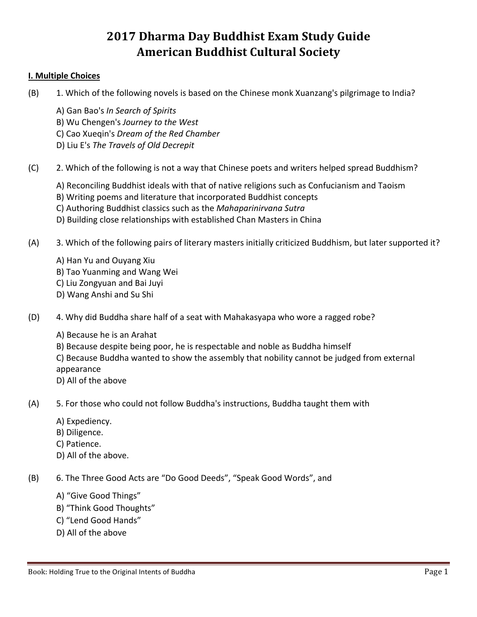# **2017 Dharma Day Buddhist Exam Study Guide American Buddhist Cultural Society**

#### **I. Multiple Choices**

- (B) 1. Which of the following novels is based on the Chinese monk Xuanzang's pilgrimage to India?
	- A) Gan Bao's *In Search of Spirits*
	- B) Wu Chengen's *Journey to the West*
	- C) Cao Xueqin's *Dream of the Red Chamber*
	- D) Liu E's *The Travels of Old Decrepit*
- (C) 2. Which of the following is not a way that Chinese poets and writers helped spread Buddhism?
	- A) Reconciling Buddhist ideals with that of native religions such as Confucianism and Taoism
	- B) Writing poems and literature that incorporated Buddhist concepts
	- C) Authoring Buddhist classics such as the *Mahaparinirvana Sutra*
	- D) Building close relationships with established Chan Masters in China
- (A) 3. Which of the following pairs of literary masters initially criticized Buddhism, but later supported it?
	- A) Han Yu and Ouyang Xiu
	- B) Tao Yuanming and Wang Wei
	- C) Liu Zongyuan and Bai Juyi
	- D) Wang Anshi and Su Shi
- (D) 4. Why did Buddha share half of a seat with Mahakasyapa who wore a ragged robe?
	- A) Because he is an Arahat
	- B) Because despite being poor, he is respectable and noble as Buddha himself
	- C) Because Buddha wanted to show the assembly that nobility cannot be judged from external appearance
	- D) All of the above
- (A) 5. For those who could not follow Buddha's instructions, Buddha taught them with
	- A) Expediency.
	- B) Diligence.
	- C) Patience.
	- D) All of the above.
- (B) 6. The Three Good Acts are "Do Good Deeds", "Speak Good Words", and
	- A) "Give Good Things"
	- B) "Think Good Thoughts"
	- C) "Lend Good Hands"
	- D) All of the above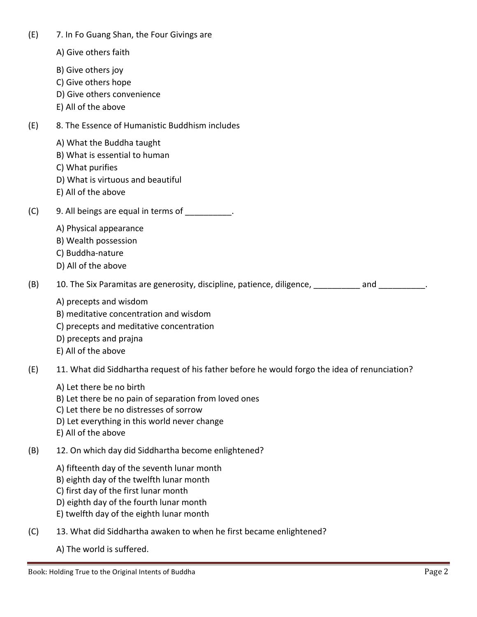(E) 7. In Fo Guang Shan, the Four Givings are

- A) Give others faith
- B) Give others joy
- C) Give others hope
- D) Give others convenience
- E) All of the above
- (E) 8. The Essence of Humanistic Buddhism includes
	- A) What the Buddha taught
	- B) What is essential to human
	- C) What purifies
	- D) What is virtuous and beautiful
	- E) All of the above
- (C) 9. All beings are equal in terms of
	- A) Physical appearance
	- B) Wealth possession
	- C) Buddha-nature
	- D) All of the above

(B) 10. The Six Paramitas are generosity, discipline, patience, diligence, and and  $\Box$ 

- A) precepts and wisdom
- B) meditative concentration and wisdom
- C) precepts and meditative concentration
- D) precepts and prajna
- E) All of the above
- (E) 11. What did Siddhartha request of his father before he would forgo the idea of renunciation?
	- A) Let there be no birth
	- B) Let there be no pain of separation from loved ones
	- C) Let there be no distresses of sorrow
	- D) Let everything in this world never change
	- E) All of the above
- (B) 12. On which day did Siddhartha become enlightened?
	- A) fifteenth day of the seventh lunar month
	- B) eighth day of the twelfth lunar month
	- C) first day of the first lunar month
	- D) eighth day of the fourth lunar month
	- E) twelfth day of the eighth lunar month
- (C) 13. What did Siddhartha awaken to when he first became enlightened?
	- A) The world is suffered.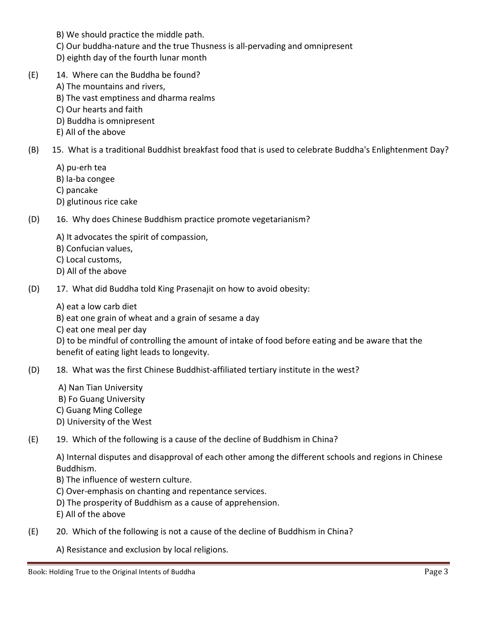- B) We should practice the middle path.
- C) Our buddha-nature and the true Thusness is all-pervading and omnipresent
- D) eighth day of the fourth lunar month
- (E) 14. Where can the Buddha be found?
	- A) The mountains and rivers,
	- B) The vast emptiness and dharma realms
	- C) Our hearts and faith
	- D) Buddha is omnipresent
	- E) All of the above
- (B) 15. What is a traditional Buddhist breakfast food that is used to celebrate Buddha's Enlightenment Day?
	- A) pu-erh tea
	- B) la-ba congee
	- C) pancake
	- D) glutinous rice cake
- (D) 16. Why does Chinese Buddhism practice promote vegetarianism?
	- A) It advocates the spirit of compassion,
	- B) Confucian values,
	- C) Local customs,
	- D) All of the above
- (D) 17. What did Buddha told King Prasenajit on how to avoid obesity:
	- A) eat a low carb diet
	- B) eat one grain of wheat and a grain of sesame a day
	- C) eat one meal per day

D) to be mindful of controlling the amount of intake of food before eating and be aware that the benefit of eating light leads to longevity.

- (D) 18. What was the first Chinese Buddhist-affiliated tertiary institute in the west?
	- A) Nan Tian University
	- B) Fo Guang University
	- C) Guang Ming College
	- D) University of the West
- (E) 19. Which of the following is a cause of the decline of Buddhism in China?

A) Internal disputes and disapproval of each other among the different schools and regions in Chinese Buddhism.

- B) The influence of western culture.
- C) Over-emphasis on chanting and repentance services.
- D) The prosperity of Buddhism as a cause of apprehension.
- E) All of the above
- (E) 20. Which of the following is not a cause of the decline of Buddhism in China?

A) Resistance and exclusion by local religions.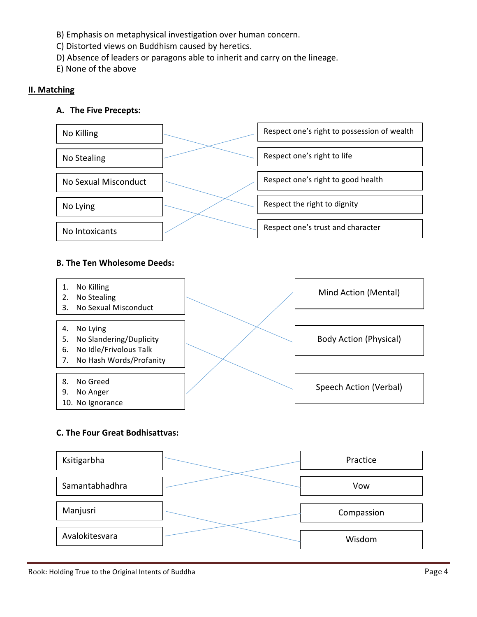- B) Emphasis on metaphysical investigation over human concern.
- C) Distorted views on Buddhism caused by heretics.
- D) Absence of leaders or paragons able to inherit and carry on the lineage.
- E) None of the above

## **II. Matching**

## **A. The Five Precepts:**



## **B. The Ten Wholesome Deeds:**



#### **C. The Four Great Bodhisattvas:**

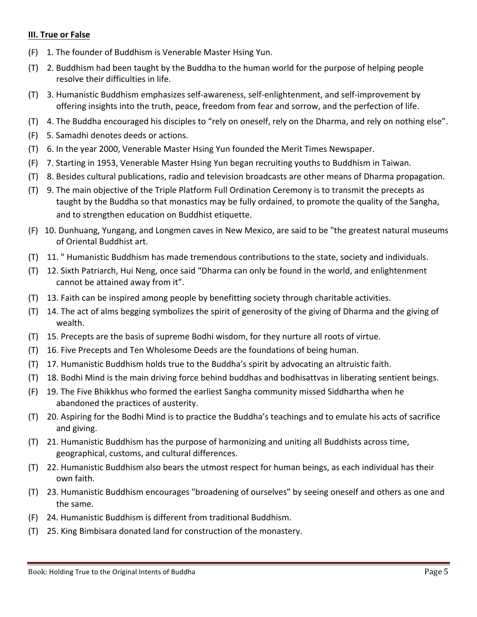## **III. True or False**

- $(F)$  1. The founder of Buddhism is Venerable Master Hsing Yun.
- (T) 2. Buddhism had been taught by the Buddha to the human world for the purpose of helping people resolve their difficulties in life.
- (T) 3. Humanistic Buddhism emphasizes self-awareness, self-enlightenment, and self-improvement by offering insights into the truth, peace, freedom from fear and sorrow, and the perfection of life.
- (T) 4. The Buddha encouraged his disciples to "rely on oneself, rely on the Dharma, and rely on nothing else".
- (F) 5. Samadhi denotes deeds or actions.
- (T) 6. In the year 2000, Venerable Master Hsing Yun founded the Merit Times Newspaper.
- (F) 7. Starting in 1953, Venerable Master Hsing Yun began recruiting youths to Buddhism in Taiwan.
- (T) 8. Besides cultural publications, radio and television broadcasts are other means of Dharma propagation.
- (T) 9. The main objective of the Triple Platform Full Ordination Ceremony is to transmit the precepts as taught by the Buddha so that monastics may be fully ordained, to promote the quality of the Sangha, and to strengthen education on Buddhist etiquette.
- (F) 10. Dunhuang, Yungang, and Longmen caves in New Mexico, are said to be "the greatest natural museums of Oriental Buddhist art.
- (T) 11. " Humanistic Buddhism has made tremendous contributions to the state, society and individuals.
- (T) 12. Sixth Patriarch, Hui Neng, once said "Dharma can only be found in the world, and enlightenment cannot be attained away from it".
- (T) 13. Faith can be inspired among people by benefitting society through charitable activities.
- (T) 14. The act of alms begging symbolizes the spirit of generosity of the giving of Dharma and the giving of wealth.
- (T) 15. Precepts are the basis of supreme Bodhi wisdom, for they nurture all roots of virtue.
- (T) 16. Five Precepts and Ten Wholesome Deeds are the foundations of being human.
- (T) 17. Humanistic Buddhism holds true to the Buddha's spirit by advocating an altruistic faith.
- (T) 18. Bodhi Mind is the main driving force behind buddhas and bodhisattvas in liberating sentient beings.
- (F) 19. The Five Bhikkhus who formed the earliest Sangha community missed Siddhartha when he abandoned the practices of austerity.
- (T) 20. Aspiring for the Bodhi Mind is to practice the Buddha's teachings and to emulate his acts of sacrifice and giving.
- (T) 21. Humanistic Buddhism has the purpose of harmonizing and uniting all Buddhists across time, geographical, customs, and cultural differences.
- (T) 22. Humanistic Buddhism also bears the utmost respect for human beings, as each individual has their own faith.
- (T) 23. Humanistic Buddhism encourages "broadening of ourselves" by seeing oneself and others as one and the same.
- (F) 24. Humanistic Buddhism is different from traditional Buddhism.
- (T) 25. King Bimbisara donated land for construction of the monastery.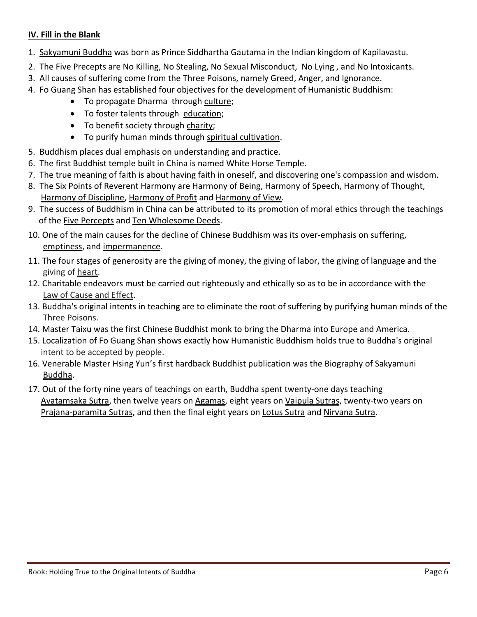# **IV.** Fill in the Blank

- 1. Sakyamuni Buddha was born as Prince Siddhartha Gautama in the Indian kingdom of Kapilavastu.
- 2. The Five Precepts are No Killing, No Stealing, No Sexual Misconduct, No Lying, and No Intoxicants.
- 3. All causes of suffering come from the Three Poisons, namely Greed, Anger, and Ignorance.
- 4. Fo Guang Shan has established four objectives for the development of Humanistic Buddhism:
	- To propagate Dharma through culture;
	- To foster talents through education;
	- To benefit society through charity;
	- To purify human minds through spiritual cultivation.
- 5. Buddhism places dual emphasis on understanding and practice.
- 6. The first Buddhist temple built in China is named White Horse Temple.
- 7. The true meaning of faith is about having faith in oneself, and discovering one's compassion and wisdom.
- 8. The Six Points of Reverent Harmony are Harmony of Being, Harmony of Speech, Harmony of Thought, Harmony of Discipline, Harmony of Profit and Harmony of View.
- 9. The success of Buddhism in China can be attributed to its promotion of moral ethics through the teachings of the Five Percepts and Ten Wholesome Deeds.
- 10. One of the main causes for the decline of Chinese Buddhism was its over-emphasis on suffering, emptiness, and impermanence.
- 11. The four stages of generosity are the giving of money, the giving of labor, the giving of language and the giving of heart.
- 12. Charitable endeavors must be carried out righteously and ethically so as to be in accordance with the Law of Cause and Effect.
- 13. Buddha's original intents in teaching are to eliminate the root of suffering by purifying human minds of the Three Poisons.
- 14. Master Taixu was the first Chinese Buddhist monk to bring the Dharma into Europe and America.
- 15. Localization of Fo Guang Shan shows exactly how Humanistic Buddhism holds true to Buddha's original intent to be accepted by people.
- 16. Venerable Master Hsing Yun's first hardback Buddhist publication was the Biography of Sakyamuni Buddha.
- 17. Out of the forty nine years of teachings on earth, Buddha spent twenty-one days teaching <u>Avatamsaka Sutra</u>, then twelve years on <u>Agamas</u>, eight years on <u>Vaipula Sutras</u>, twenty-two years on Prajana-paramita Sutras, and then the final eight years on Lotus Sutra and Nirvana Sutra.